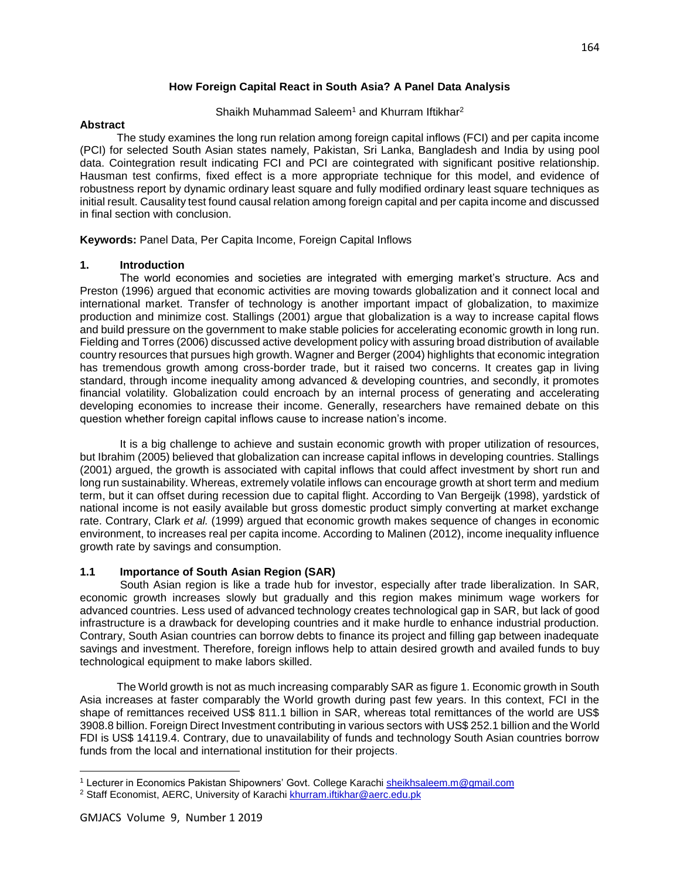# **How Foreign Capital React in South Asia? A Panel Data Analysis**

Shaikh Muhammad Saleem<sup>1</sup> and Khurram Iftikhar<sup>2</sup>

## **Abstract**

 The study examines the long run relation among foreign capital inflows (FCI) and per capita income (PCI) for selected South Asian states namely, Pakistan, Sri Lanka, Bangladesh and India by using pool data. Cointegration result indicating FCI and PCI are cointegrated with significant positive relationship. Hausman test confirms, fixed effect is a more appropriate technique for this model, and evidence of robustness report by dynamic ordinary least square and fully modified ordinary least square techniques as initial result. Causality test found causal relation among foreign capital and per capita income and discussed in final section with conclusion.

**Keywords:** Panel Data, Per Capita Income, Foreign Capital Inflows

# **1. Introduction**

 The world economies and societies are integrated with emerging market's structure. Acs and Preston (1996) argued that economic activities are moving towards globalization and it connect local and international market. Transfer of technology is another important impact of globalization, to maximize production and minimize cost. Stallings (2001) argue that globalization is a way to increase capital flows and build pressure on the government to make stable policies for accelerating economic growth in long run. Fielding and Torres (2006) discussed active development policy with assuring broad distribution of available country resources that pursues high growth. Wagner and Berger (2004) highlights that economic integration has tremendous growth among cross-border trade, but it raised two concerns. It creates gap in living standard, through income inequality among advanced & developing countries, and secondly, it promotes financial volatility. Globalization could encroach by an internal process of generating and accelerating developing economies to increase their income. Generally, researchers have remained debate on this question whether foreign capital inflows cause to increase nation's income.

It is a big challenge to achieve and sustain economic growth with proper utilization of resources, but Ibrahim (2005) believed that globalization can increase capital inflows in developing countries. Stallings (2001) argued, the growth is associated with capital inflows that could affect investment by short run and long run sustainability. Whereas, extremely volatile inflows can encourage growth at short term and medium term, but it can offset during recession due to capital flight. According to Van Bergeijk (1998), yardstick of national income is not easily available but gross domestic product simply converting at market exchange rate. Contrary, Clark *et al.* (1999) argued that economic growth makes sequence of changes in economic environment, to increases real per capita income. According to Malinen (2012), income inequality influence growth rate by savings and consumption.

## **1.1 Importance of South Asian Region (SAR)**

 South Asian region is like a trade hub for investor, especially after trade liberalization. In SAR, economic growth increases slowly but gradually and this region makes minimum wage workers for advanced countries. Less used of advanced technology creates technological gap in SAR, but lack of good infrastructure is a drawback for developing countries and it make hurdle to enhance industrial production. Contrary, South Asian countries can borrow debts to finance its project and filling gap between inadequate savings and investment. Therefore, foreign inflows help to attain desired growth and availed funds to buy technological equipment to make labors skilled.

 The World growth is not as much increasing comparably SAR as figure 1. Economic growth in South Asia increases at faster comparably the World growth during past few years. In this context, FCI in the shape of remittances received US\$ 811.1 billion in SAR, whereas total remittances of the world are US\$ 3908.8 billion. Foreign Direct Investment contributing in various sectors with US\$ 252.1 billion and the World FDI is US\$ 14119.4. Contrary, due to unavailability of funds and technology South Asian countries borrow funds from the local and international institution for their projects.

 $\overline{\phantom{a}}$ <sup>1</sup> Lecturer in Economics Pakistan Shipowners' Govt. College Karachi sheikhsaleem.m@gmail.com

<sup>&</sup>lt;sup>2</sup> Staff Economist, AERC, University of Karachi khurram.iftikhar@aerc.edu.pk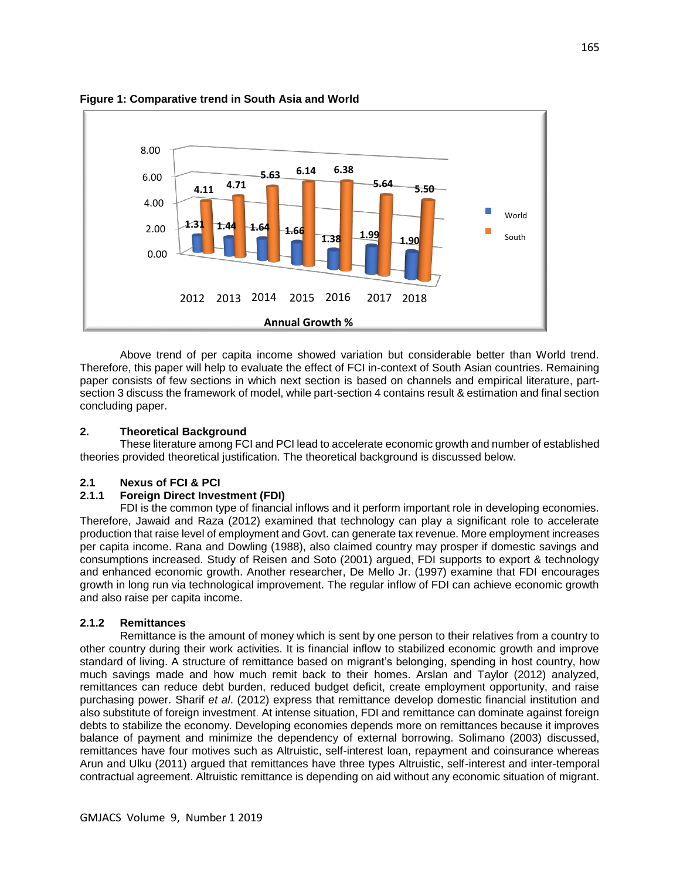

**Figure 1: Comparative trend in South Asia and World**

Above trend of per capita income showed variation but considerable better than World trend. Therefore, this paper will help to evaluate the effect of FCI in-context of South Asian countries. Remaining paper consists of few sections in which next section is based on channels and empirical literature, partsection 3 discuss the framework of model, while part-section 4 contains result & estimation and final section concluding paper.

#### **2. Theoretical Background**

 These literature among FCI and PCI lead to accelerate economic growth and number of established theories provided theoretical justification. The theoretical background is discussed below.

# **2.1 Nexus of FCI & PCI**

## **2.1.1 Foreign Direct Investment (FDI)**

FDI is the common type of financial inflows and it perform important role in developing economies. Therefore, Jawaid and Raza (2012) examined that technology can play a significant role to accelerate production that raise level of employment and Govt. can generate tax revenue. More employment increases per capita income. Rana and Dowling (1988), also claimed country may prosper if domestic savings and consumptions increased. Study of Reisen and Soto (2001) argued, FDI supports to export & technology and enhanced economic growth. Another researcher, De Mello Jr. (1997) examine that FDI encourages growth in long run via technological improvement. The regular inflow of FDI can achieve economic growth and also raise per capita income.

## **2.1.2 Remittances**

Remittance is the amount of money which is sent by one person to their relatives from a country to other country during their work activities. It is financial inflow to stabilized economic growth and improve standard of living. A structure of remittance based on migrant's belonging, spending in host country, how much savings made and how much remit back to their homes. Arslan and Taylor (2012) analyzed, remittances can reduce debt burden, reduced budget deficit, create employment opportunity, and raise purchasing power. Sharif *et al*. (2012) express that remittance develop domestic financial institution and also substitute of foreign investment. At intense situation, FDI and remittance can dominate against foreign debts to stabilize the economy. Developing economies depends more on remittances because it improves balance of payment and minimize the dependency of external borrowing. Solimano (2003) discussed, remittances have four motives such as Altruistic, self-interest loan, repayment and coinsurance whereas Arun and Ulku (2011) argued that remittances have three types Altruistic, self-interest and inter-temporal contractual agreement. Altruistic remittance is depending on aid without any economic situation of migrant.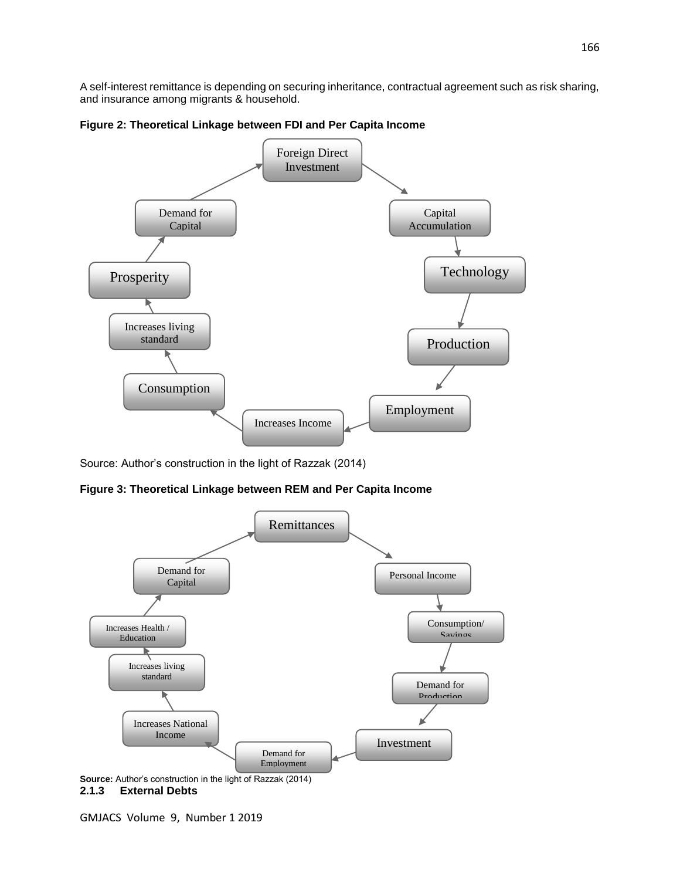A self-interest remittance is depending on securing inheritance, contractual agreement such as risk sharing, and insurance among migrants & household.





Source: Author's construction in the light of Razzak (2014)

**Figure 3: Theoretical Linkage between REM and Per Capita Income**



**Source:** Author's construction in the light of Razzak (2014) **2.1.3 External Debts**

GMJACS Volume 9, Number 1 2019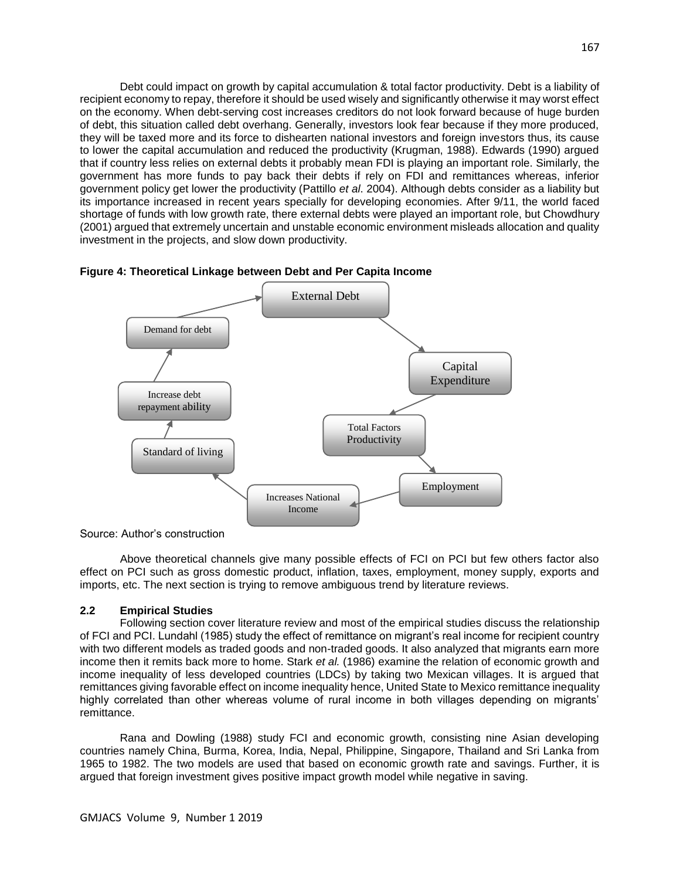Debt could impact on growth by capital accumulation & total factor productivity. Debt is a liability of recipient economy to repay, therefore it should be used wisely and significantly otherwise it may worst effect on the economy. When debt-serving cost increases creditors do not look forward because of huge burden of debt, this situation called debt overhang. Generally, investors look fear because if they more produced, they will be taxed more and its force to dishearten national investors and foreign investors thus, its cause to lower the capital accumulation and reduced the productivity (Krugman, 1988). Edwards (1990) argued that if country less relies on external debts it probably mean FDI is playing an important role. Similarly, the government has more funds to pay back their debts if rely on FDI and remittances whereas, inferior government policy get lower the productivity (Pattillo *et al*. 2004). Although debts consider as a liability but its importance increased in recent years specially for developing economies. After 9/11, the world faced shortage of funds with low growth rate, there external debts were played an important role, but Chowdhury (2001) argued that extremely uncertain and unstable economic environment misleads allocation and quality investment in the projects, and slow down productivity.





Source: Author's construction

Above theoretical channels give many possible effects of FCI on PCI but few others factor also effect on PCI such as gross domestic product, inflation, taxes, employment, money supply, exports and imports, etc. The next section is trying to remove ambiguous trend by literature reviews.

#### **2.2 Empirical Studies**

 Following section cover literature review and most of the empirical studies discuss the relationship of FCI and PCI. Lundahl (1985) study the effect of remittance on migrant's real income for recipient country with two different models as traded goods and non-traded goods. It also analyzed that migrants earn more income then it remits back more to home. Stark *et al.* (1986) examine the relation of economic growth and income inequality of less developed countries (LDCs) by taking two Mexican villages. It is argued that remittances giving favorable effect on income inequality hence, United State to Mexico remittance inequality highly correlated than other whereas volume of rural income in both villages depending on migrants' remittance.

Rana and Dowling (1988) study FCI and economic growth, consisting nine Asian developing countries namely China, Burma, Korea, India, Nepal, Philippine, Singapore, Thailand and Sri Lanka from 1965 to 1982. The two models are used that based on economic growth rate and savings. Further, it is argued that foreign investment gives positive impact growth model while negative in saving.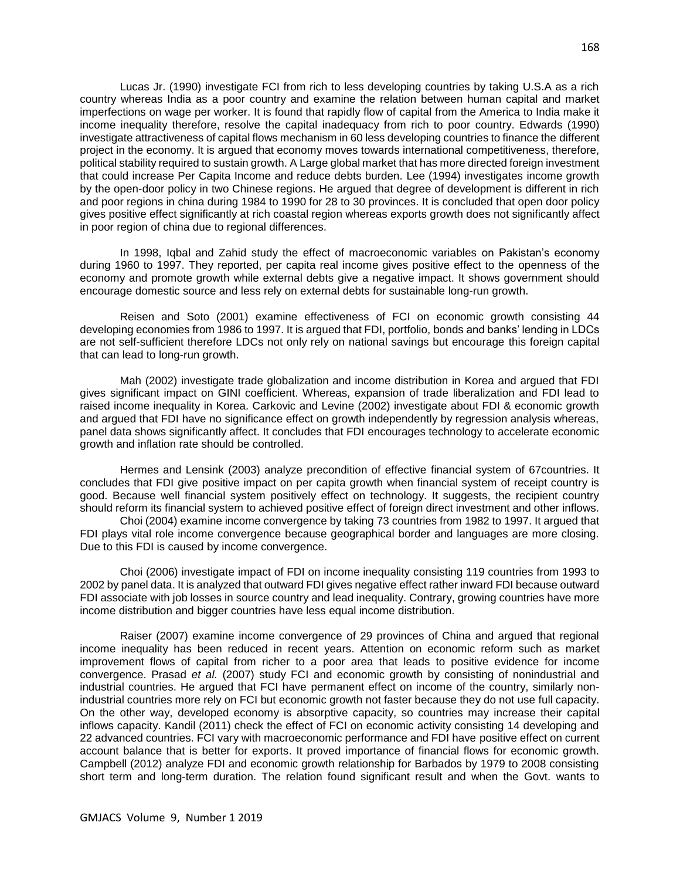Lucas Jr. (1990) investigate FCI from rich to less developing countries by taking U.S.A as a rich country whereas India as a poor country and examine the relation between human capital and market imperfections on wage per worker. It is found that rapidly flow of capital from the America to India make it income inequality therefore, resolve the capital inadequacy from rich to poor country. Edwards (1990) investigate attractiveness of capital flows mechanism in 60 less developing countries to finance the different project in the economy. It is argued that economy moves towards international competitiveness, therefore, political stability required to sustain growth. A Large global market that has more directed foreign investment that could increase Per Capita Income and reduce debts burden. Lee (1994) investigates income growth by the open-door policy in two Chinese regions. He argued that degree of development is different in rich and poor regions in china during 1984 to 1990 for 28 to 30 provinces. It is concluded that open door policy gives positive effect significantly at rich coastal region whereas exports growth does not significantly affect in poor region of china due to regional differences.

In 1998, Iqbal and Zahid study the effect of macroeconomic variables on Pakistan's economy during 1960 to 1997. They reported, per capita real income gives positive effect to the openness of the economy and promote growth while external debts give a negative impact. It shows government should encourage domestic source and less rely on external debts for sustainable long-run growth.

Reisen and Soto (2001) examine effectiveness of FCI on economic growth consisting 44 developing economies from 1986 to 1997. It is argued that FDI, portfolio, bonds and banks' lending in LDCs are not self-sufficient therefore LDCs not only rely on national savings but encourage this foreign capital that can lead to long-run growth.

Mah (2002) investigate trade globalization and income distribution in Korea and argued that FDI gives significant impact on GINI coefficient. Whereas, expansion of trade liberalization and FDI lead to raised income inequality in Korea. Carkovic and Levine (2002) investigate about FDI & economic growth and argued that FDI have no significance effect on growth independently by regression analysis whereas, panel data shows significantly affect. It concludes that FDI encourages technology to accelerate economic growth and inflation rate should be controlled.

Hermes and Lensink (2003) analyze precondition of effective financial system of 67countries. It concludes that FDI give positive impact on per capita growth when financial system of receipt country is good. Because well financial system positively effect on technology. It suggests, the recipient country should reform its financial system to achieved positive effect of foreign direct investment and other inflows.

Choi (2004) examine income convergence by taking 73 countries from 1982 to 1997. It argued that FDI plays vital role income convergence because geographical border and languages are more closing. Due to this FDI is caused by income convergence.

Choi (2006) investigate impact of FDI on income inequality consisting 119 countries from 1993 to 2002 by panel data. It is analyzed that outward FDI gives negative effect rather inward FDI because outward FDI associate with job losses in source country and lead inequality. Contrary, growing countries have more income distribution and bigger countries have less equal income distribution.

Raiser (2007) examine income convergence of 29 provinces of China and argued that regional income inequality has been reduced in recent years. Attention on economic reform such as market improvement flows of capital from richer to a poor area that leads to positive evidence for income convergence. Prasad *et al.* (2007) study FCI and economic growth by consisting of nonindustrial and industrial countries. He argued that FCI have permanent effect on income of the country, similarly nonindustrial countries more rely on FCI but economic growth not faster because they do not use full capacity. On the other way, developed economy is absorptive capacity, so countries may increase their capital inflows capacity. Kandil (2011) check the effect of FCI on economic activity consisting 14 developing and 22 advanced countries. FCI vary with macroeconomic performance and FDI have positive effect on current account balance that is better for exports. It proved importance of financial flows for economic growth. Campbell (2012) analyze FDI and economic growth relationship for Barbados by 1979 to 2008 consisting short term and long-term duration. The relation found significant result and when the Govt. wants to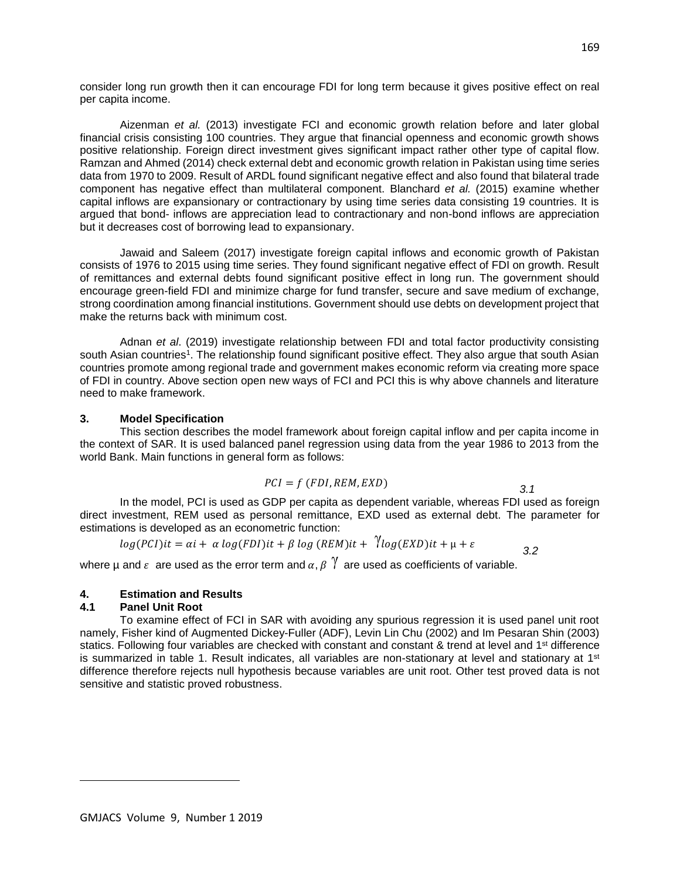consider long run growth then it can encourage FDI for long term because it gives positive effect on real per capita income.

Aizenman *et al.* (2013) investigate FCI and economic growth relation before and later global financial crisis consisting 100 countries. They argue that financial openness and economic growth shows positive relationship. Foreign direct investment gives significant impact rather other type of capital flow. Ramzan and Ahmed (2014) check external debt and economic growth relation in Pakistan using time series data from 1970 to 2009. Result of ARDL found significant negative effect and also found that bilateral trade component has negative effect than multilateral component. Blanchard *et al.* (2015) examine whether capital inflows are expansionary or contractionary by using time series data consisting 19 countries. It is argued that bond- inflows are appreciation lead to contractionary and non-bond inflows are appreciation but it decreases cost of borrowing lead to expansionary.

Jawaid and Saleem (2017) investigate foreign capital inflows and economic growth of Pakistan consists of 1976 to 2015 using time series. They found significant negative effect of FDI on growth. Result of remittances and external debts found significant positive effect in long run. The government should encourage green-field FDI and minimize charge for fund transfer, secure and save medium of exchange, strong coordination among financial institutions. Government should use debts on development project that make the returns back with minimum cost.

Adnan *et al*. (2019) investigate relationship between FDI and total factor productivity consisting south Asian countries<sup>1</sup>. The relationship found significant positive effect. They also argue that south Asian countries promote among regional trade and government makes economic reform via creating more space of FDI in country. Above section open new ways of FCI and PCI this is why above channels and literature need to make framework.

#### **3. Model Specification**

 This section describes the model framework about foreign capital inflow and per capita income in the context of SAR. It is used balanced panel regression using data from the year 1986 to 2013 from the world Bank. Main functions in general form as follows:

$$
PCI = f (FDI, REM, EXP)
$$

*3.1*

In the model, PCI is used as GDP per capita as dependent variable, whereas FDI used as foreign direct investment, REM used as personal remittance, EXD used as external debt. The parameter for estimations is developed as an econometric function:

$$
log(PCI)it = \alpha i + \alpha log(FDI)it + \beta log(REM)it + \sqrt{log(KND)}it + \mu + \varepsilon
$$

where µ and  $\varepsilon$  are used as the error term and  $\alpha$ ,  $\beta$   $\gamma$  are used as coefficients of variable.

# **4. Estimation and Results**

#### **4.1 Panel Unit Root**

 $\overline{\phantom{a}}$ 

 To examine effect of FCI in SAR with avoiding any spurious regression it is used panel unit root namely, Fisher kind of Augmented Dickey-Fuller (ADF), Levin Lin Chu (2002) and Im Pesaran Shin (2003) statics. Following four variables are checked with constant and constant & trend at level and 1<sup>st</sup> difference is summarized in table 1. Result indicates, all variables are non-stationary at level and stationary at  $1<sup>st</sup>$ difference therefore rejects null hypothesis because variables are unit root. Other test proved data is not sensitive and statistic proved robustness.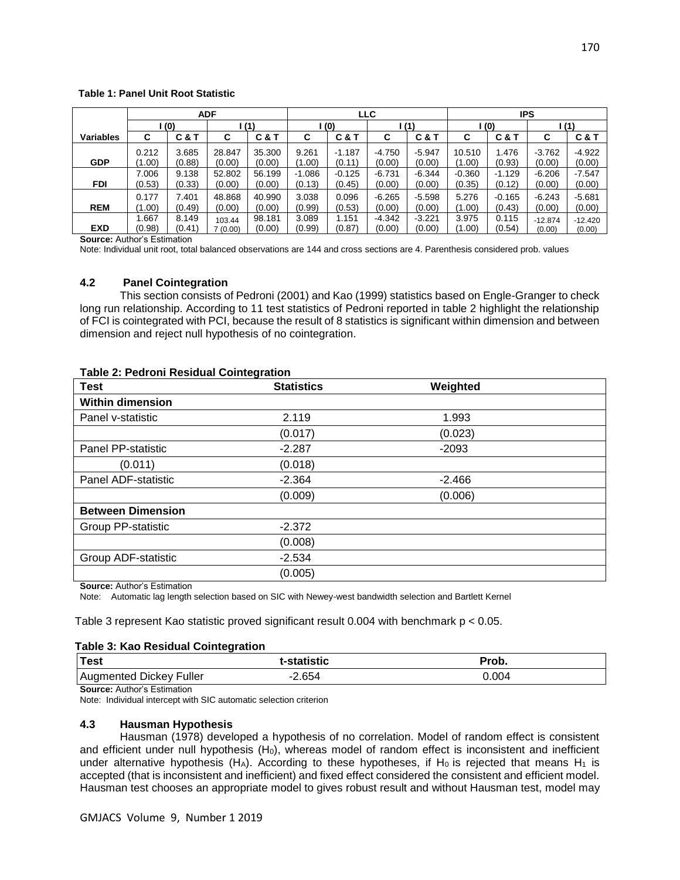#### **Table 1: Panel Unit Root Statistic**

|                  | <b>ADF</b> |                |         | <b>LLC</b> |          |          | IPS      |          |          |                |           |           |
|------------------|------------|----------------|---------|------------|----------|----------|----------|----------|----------|----------------|-----------|-----------|
|                  | (0)        |                |         | (1)<br>(0) |          | (1)      |          | l (0)    |          | (1)            |           |           |
| <b>Variables</b> | С          | <b>C&amp;T</b> | С       | C & T      | С        | C & T    | C        | C & T    | С        | <b>C&amp;T</b> | С         | C & T     |
|                  | 0.212      | 3.685          | 28.847  | 35.300     | 9.261    | $-1.187$ | $-4.750$ | $-5.947$ | 10.510   | 1.476          | $-3.762$  | $-4.922$  |
| <b>GDP</b>       | (1.00)     | (0.88)         | (0.00)  | (0.00)     | (1.00)   | (0.11)   | (0.00)   | (0.00)   | (1.00)   | (0.93)         | (0.00)    | (0.00)    |
|                  | 7.006      | 9.138          | 52.802  | 56.199     | $-1.086$ | $-0.125$ | $-6.731$ | $-6.344$ | $-0.360$ | $-1.129$       | $-6.206$  | $-7.547$  |
| <b>FDI</b>       | (0.53)     | (0.33)         | (0.00)  | (0.00)     | (0.13)   | (0.45)   | (0.00)   | (0.00)   | (0.35)   | (0.12)         | (0.00)    | (0.00)    |
|                  | 0.177      | 7.401          | 48.868  | 40.990     | 3.038    | 0.096    | $-6.265$ | $-5.598$ | 5.276    | $-0.165$       | $-6.243$  | $-5.681$  |
| <b>REM</b>       | (1.00)     | (0.49)         | (0.00)  | (0.00)     | (0.99)   | (0.53)   | (0.00)   | (0.00)   | (1.00)   | (0.43)         | (0.00)    | (0.00)    |
|                  | .667       | 8.149          | 103.44  | 98.181     | 3.089    | 1.151    | $-4.342$ | $-3.221$ | 3.975    | 0.115          | $-12.874$ | $-12.420$ |
| <b>EXD</b>       | (0.98)     | (0.41)         | 7(0.00) | (0.00)     | (0.99)   | (0.87)   | (0.00)   | (0.00)   | (1.00)   | (0.54)         | (0.00)    | (0.00)    |

**Source:** Author's Estimation

Note: Individual unit root, total balanced observations are 144 and cross sections are 4. Parenthesis considered prob. values

## **4.2 Panel Cointegration**

 This section consists of Pedroni (2001) and Kao (1999) statistics based on Engle-Granger to check long run relationship. According to 11 test statistics of Pedroni reported in table 2 highlight the relationship of FCI is cointegrated with PCI, because the result of 8 statistics is significant within dimension and between dimension and reject null hypothesis of no cointegration.

#### **Table 2: Pedroni Residual Cointegration**

| <b>Test</b>              | <b>Statistics</b> | Weighted |  |
|--------------------------|-------------------|----------|--|
| <b>Within dimension</b>  |                   |          |  |
| Panel v-statistic        | 2.119             | 1.993    |  |
|                          | (0.017)           | (0.023)  |  |
| Panel PP-statistic       | $-2.287$          | $-2093$  |  |
| (0.011)                  | (0.018)           |          |  |
| Panel ADF-statistic      | $-2.364$          | $-2.466$ |  |
|                          | (0.009)           | (0.006)  |  |
| <b>Between Dimension</b> |                   |          |  |
| Group PP-statistic       | $-2.372$          |          |  |
|                          | (0.008)           |          |  |
| Group ADF-statistic      | $-2.534$          |          |  |
|                          | (0.005)           |          |  |

**Source:** Author's Estimation

Note: Automatic lag length selection based on SIC with Newey-west bandwidth selection and Bartlett Kernel

Table 3 represent Kao statistic proved significant result 0.004 with benchmark  $p < 0.05$ .

#### **Table 3: Kao Residual Cointegration**

| Test                               | t-statistic | Prob. |  |
|------------------------------------|-------------|-------|--|
| Augmented Dickey Fuller            | -2.654      | 0.004 |  |
| <b>Source: Author's Estimation</b> |             |       |  |

Note: Individual intercept with SIC automatic selection criterion

#### **4.3 Hausman Hypothesis**

 Hausman (1978) developed a hypothesis of no correlation. Model of random effect is consistent and efficient under null hypothesis (H<sub>0</sub>), whereas model of random effect is inconsistent and inefficient under alternative hypothesis (H<sub>A</sub>). According to these hypotheses, if H<sub>0</sub> is rejected that means H<sub>1</sub> is accepted (that is inconsistent and inefficient) and fixed effect considered the consistent and efficient model. Hausman test chooses an appropriate model to gives robust result and without Hausman test, model may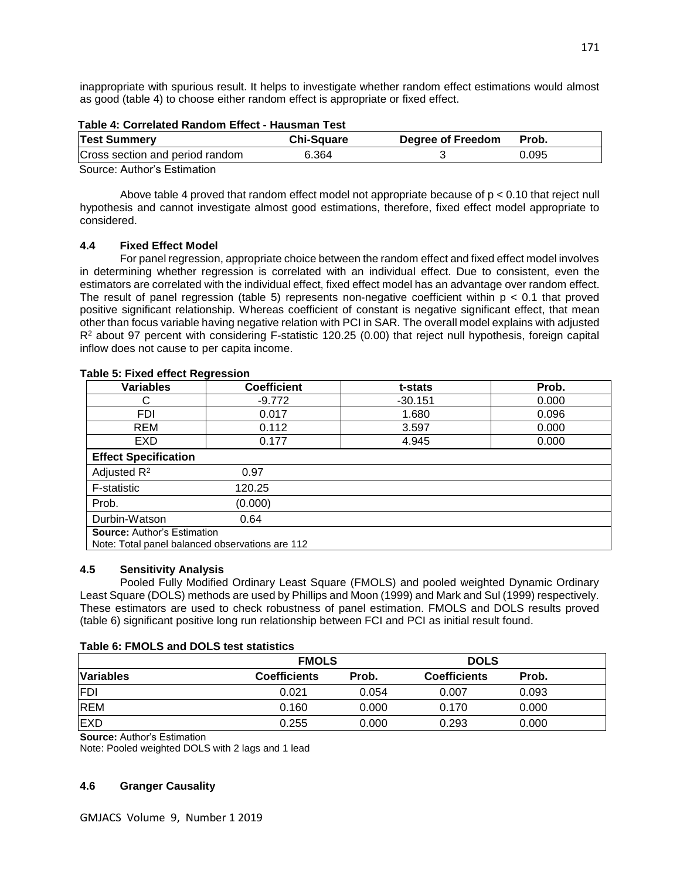inappropriate with spurious result. It helps to investigate whether random effect estimations would almost as good (table 4) to choose either random effect is appropriate or fixed effect.

| Table 4: Correlated Random Effect - Hausman Test |                   |                   |       |  |  |  |
|--------------------------------------------------|-------------------|-------------------|-------|--|--|--|
| <b>Test Summery</b>                              | <b>Chi-Square</b> | Degree of Freedom | Prob. |  |  |  |
| Cross section and period random                  | 6.364             |                   | 0.095 |  |  |  |
| Course: Author's Estimation                      |                   |                   |       |  |  |  |

Source: Author's Estimation

Above table 4 proved that random effect model not appropriate because of  $p < 0.10$  that reject null hypothesis and cannot investigate almost good estimations, therefore, fixed effect model appropriate to considered.

# **4.4 Fixed Effect Model**

 For panel regression, appropriate choice between the random effect and fixed effect model involves in determining whether regression is correlated with an individual effect. Due to consistent, even the estimators are correlated with the individual effect, fixed effect model has an advantage over random effect. The result of panel regression (table 5) represents non-negative coefficient within  $p < 0.1$  that proved positive significant relationship. Whereas coefficient of constant is negative significant effect, that mean other than focus variable having negative relation with PCI in SAR. The overall model explains with adjusted R<sup>2</sup> about 97 percent with considering F-statistic 120.25 (0.00) that reject null hypothesis, foreign capital inflow does not cause to per capita income.

| <b>Variables</b>                                | <b>Coefficient</b> | t-stats   | Prob. |  |  |  |
|-------------------------------------------------|--------------------|-----------|-------|--|--|--|
|                                                 | $-9.772$           | $-30.151$ | 0.000 |  |  |  |
| <b>FDI</b>                                      | 0.017              | 1.680     | 0.096 |  |  |  |
| REM                                             | 0.112              | 3.597     | 0.000 |  |  |  |
| EXD                                             | 0.177              | 4.945     | 0.000 |  |  |  |
| <b>Effect Specification</b>                     |                    |           |       |  |  |  |
| Adjusted $R^2$                                  | 0.97               |           |       |  |  |  |
| <b>F-statistic</b>                              | 120.25             |           |       |  |  |  |
| Prob.                                           | (0.000)            |           |       |  |  |  |
| Durbin-Watson                                   | 0.64               |           |       |  |  |  |
| <b>Source: Author's Estimation</b>              |                    |           |       |  |  |  |
| Note: Total panel balanced observations are 112 |                    |           |       |  |  |  |

# **Table 5: Fixed effect Regression**

## **4.5 Sensitivity Analysis**

 Pooled Fully Modified Ordinary Least Square (FMOLS) and pooled weighted Dynamic Ordinary Least Square (DOLS) methods are used by Phillips and Moon (1999) and Mark and Sul (1999) respectively. These estimators are used to check robustness of panel estimation. FMOLS and DOLS results proved (table 6) significant positive long run relationship between FCI and PCI as initial result found.

## **Table 6: FMOLS and DOLS test statistics**

|                  | <b>FMOLS</b>        |       | <b>DOLS</b>         |       |
|------------------|---------------------|-------|---------------------|-------|
| <b>Variables</b> | <b>Coefficients</b> | Prob. | <b>Coefficients</b> | Prob. |
| FDI              | 0.021               | 0.054 | 0.007               | 0.093 |
| <b>REM</b>       | 0.160               | 0.000 | 0.170               | 0.000 |
| <b>EXD</b>       | 0.255               | 0.000 | 0.293               | 0.000 |

**Source:** Author's Estimation

Note: Pooled weighted DOLS with 2 lags and 1 lead

# **4.6 Granger Causality**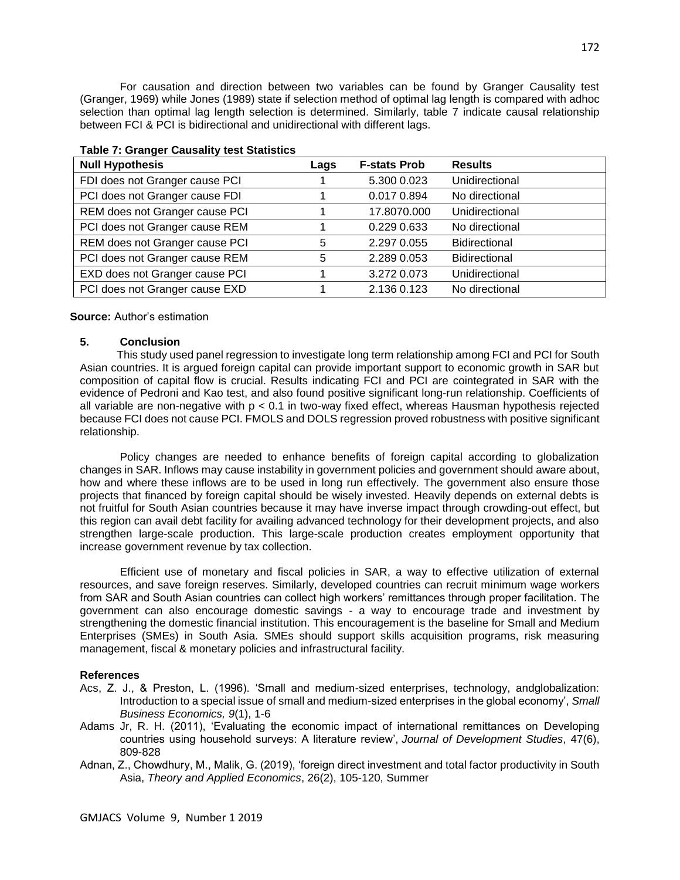For causation and direction between two variables can be found by Granger Causality test (Granger, 1969) while Jones (1989) state if selection method of optimal lag length is compared with adhoc selection than optimal lag length selection is determined. Similarly, table 7 indicate causal relationship between FCI & PCI is bidirectional and unidirectional with different lags.

| <b>Null Hypothesis</b>         | Lags | <b>F-stats Prob</b> | <b>Results</b>       |
|--------------------------------|------|---------------------|----------------------|
| FDI does not Granger cause PCI |      | 5.300 0.023         | Unidirectional       |
| PCI does not Granger cause FDI |      | 0.017 0.894         | No directional       |
| REM does not Granger cause PCI |      | 17.8070.000         | Unidirectional       |
| PCI does not Granger cause REM |      | 0.229 0.633         | No directional       |
| REM does not Granger cause PCI | 5    | 2.297 0.055         | Bidirectional        |
| PCI does not Granger cause REM | 5    | 2.289 0.053         | <b>Bidirectional</b> |
| EXD does not Granger cause PCI |      | 3.272 0.073         | Unidirectional       |
| PCI does not Granger cause EXD |      | 2.136 0.123         | No directional       |

#### **Table 7: Granger Causality test Statistics**

#### **Source:** Author's estimation

#### **5. Conclusion**

 This study used panel regression to investigate long term relationship among FCI and PCI for South Asian countries. It is argued foreign capital can provide important support to economic growth in SAR but composition of capital flow is crucial. Results indicating FCI and PCI are cointegrated in SAR with the evidence of Pedroni and Kao test, and also found positive significant long-run relationship. Coefficients of all variable are non-negative with p < 0.1 in two-way fixed effect, whereas Hausman hypothesis rejected because FCI does not cause PCI. FMOLS and DOLS regression proved robustness with positive significant relationship.

Policy changes are needed to enhance benefits of foreign capital according to globalization changes in SAR. Inflows may cause instability in government policies and government should aware about, how and where these inflows are to be used in long run effectively. The government also ensure those projects that financed by foreign capital should be wisely invested. Heavily depends on external debts is not fruitful for South Asian countries because it may have inverse impact through crowding-out effect, but this region can avail debt facility for availing advanced technology for their development projects, and also strengthen large-scale production. This large-scale production creates employment opportunity that increase government revenue by tax collection.

Efficient use of monetary and fiscal policies in SAR, a way to effective utilization of external resources, and save foreign reserves. Similarly, developed countries can recruit minimum wage workers from SAR and South Asian countries can collect high workers' remittances through proper facilitation. The government can also encourage domestic savings - a way to encourage trade and investment by strengthening the domestic financial institution. This encouragement is the baseline for Small and Medium Enterprises (SMEs) in South Asia. SMEs should support skills acquisition programs, risk measuring management, fiscal & monetary policies and infrastructural facility.

#### **References**

- Acs, Z. J., & Preston, L. (1996). 'Small and medium-sized enterprises, technology, andglobalization: Introduction to a special issue of small and medium-sized enterprises in the global economy', *Small Business Economics, 9*(1), 1-6
- Adams Jr, R. H. (2011), 'Evaluating the economic impact of international remittances on Developing countries using household surveys: A literature review', *Journal of Development Studies*, 47(6), 809-828
- Adnan, Z., Chowdhury, M., Malik, G. (2019), 'foreign direct investment and total factor productivity in South Asia, *Theory and Applied Economics*, 26(2), 105-120, Summer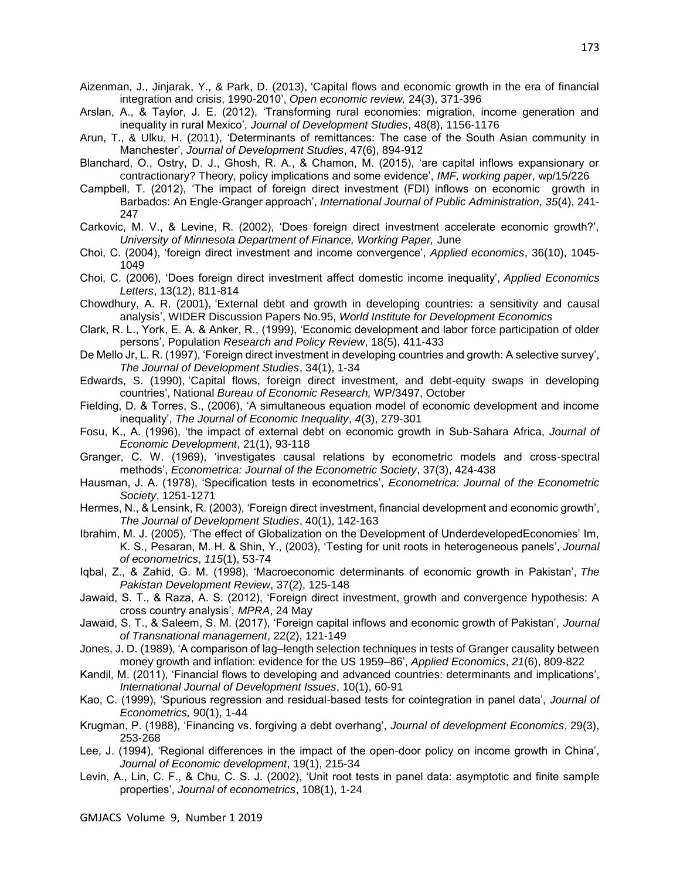- Aizenman, J., Jinjarak, Y., & Park, D. (2013), 'Capital flows and economic growth in the era of financial integration and crisis, 1990-2010', *Open economic review,* 24(3), 371-396
- Arslan, A., & Taylor, J. E. (2012), 'Transforming rural economies: migration, income generation and inequality in rural Mexico', *Journal of Development Studies*, 48(8), 1156-1176
- Arun, T., & Ulku, H. (2011), 'Determinants of remittances: The case of the South Asian community in Manchester', *Journal of Development Studies*, 47(6), 894-912
- Blanchard, O., Ostry, D. J., Ghosh, R. A., & Chamon, M. (2015), 'are capital inflows expansionary or contractionary? Theory, policy implications and some evidence', *IMF, working paper*, wp/15/226
- Campbell, T. (2012), 'The impact of foreign direct investment (FDI) inflows on economic growth in Barbados: An Engle-Granger approach', *International Journal of Public Administration*, *35*(4), 241- 247
- Carkovic, M. V., & Levine, R. (2002), 'Does foreign direct investment accelerate economic growth?', *University of Minnesota Department of Finance, Working Paper,* June
- Choi, C. (2004), 'foreign direct investment and income convergence', *Applied economics*, 36(10), 1045- 1049
- Choi, C. (2006), 'Does foreign direct investment affect domestic income inequality', *Applied Economics Letters*, 13(12), 811-814
- Chowdhury, A. R. (2001), 'External debt and growth in developing countries: a sensitivity and causal analysis', WIDER Discussion Papers No.95, *World Institute for Development Economics*
- Clark, R. L., York, E. A. & Anker, R., (1999), 'Economic development and labor force participation of older persons', Population *Research and Policy Review*, 18(5), 411-433
- De Mello Jr, L. R. (1997), 'Foreign direct investment in developing countries and growth: A selective survey', *The Journal of Development Studies*, 34(1), 1-34
- Edwards, S. (1990), 'Capital flows, foreign direct investment, and debt-equity swaps in developing countries', National *Bureau of Economic Research,* WP/3497, October
- Fielding, D. & Torres, S., (2006), 'A simultaneous equation model of economic development and income inequality', *The Journal of Economic Inequality*, *4*(3), 279-301
- Fosu, K., A. (1996), 'the impact of external debt on economic growth in Sub-Sahara Africa, *Journal of Economic Development*, 21(1), 93-118
- Granger, C. W. (1969), 'investigates causal relations by econometric models and cross-spectral methods', *Econometrica: Journal of the Econometric Society*, 37(3), 424-438
- Hausman, J. A. (1978), 'Specification tests in econometrics', *Econometrica: Journal of the Econometric Society*, 1251-1271
- Hermes, N., & Lensink, R. (2003), 'Foreign direct investment, financial development and economic growth', *The Journal of Development Studies*, 40(1), 142-163
- Ibrahim, M. J. (2005), 'The effect of Globalization on the Development of UnderdevelopedEconomies' Im, K. S., Pesaran, M. H. & Shin, Y., (2003), 'Testing for unit roots in heterogeneous panels', *Journal of econometrics*, *115*(1), 53-74
- Iqbal, Z., & Zahid, G. M. (1998), 'Macroeconomic determinants of economic growth in Pakistan', *The Pakistan Development Review*, 37(2), 125-148
- Jawaid, S. T., & Raza, A. S. (2012), 'Foreign direct investment, growth and convergence hypothesis: A cross country analysis', *MPRA*, 24 May
- Jawaid, S. T., & Saleem, S. M. (2017), 'Foreign capital inflows and economic growth of Pakistan', *Journal of Transnational management*, 22(2), 121-149
- Jones, J. D. (1989), 'A comparison of lag–length selection techniques in tests of Granger causality between money growth and inflation: evidence for the US 1959–86', *Applied Economics*, *21*(6), 809-822
- Kandil, M. (2011), 'Financial flows to developing and advanced countries: determinants and implications', *International Journal of Development Issues*, 10(1), 60-91
- Kao, C. (1999), 'Spurious regression and residual-based tests for cointegration in panel data', *Journal of Econometrics,* 90(1), 1-44
- Krugman, P. (1988), 'Financing vs. forgiving a debt overhang', *Journal of development Economics*, 29(3), 253-268
- Lee, J. (1994), 'Regional differences in the impact of the open-door policy on income growth in China', *Journal of Economic development*, 19(1), 215-34
- Levin, A., Lin, C. F., & Chu, C. S. J. (2002), 'Unit root tests in panel data: asymptotic and finite sample properties', *Journal of econometrics*, 108(1), 1-24

GMJACS Volume 9, Number 1 2019